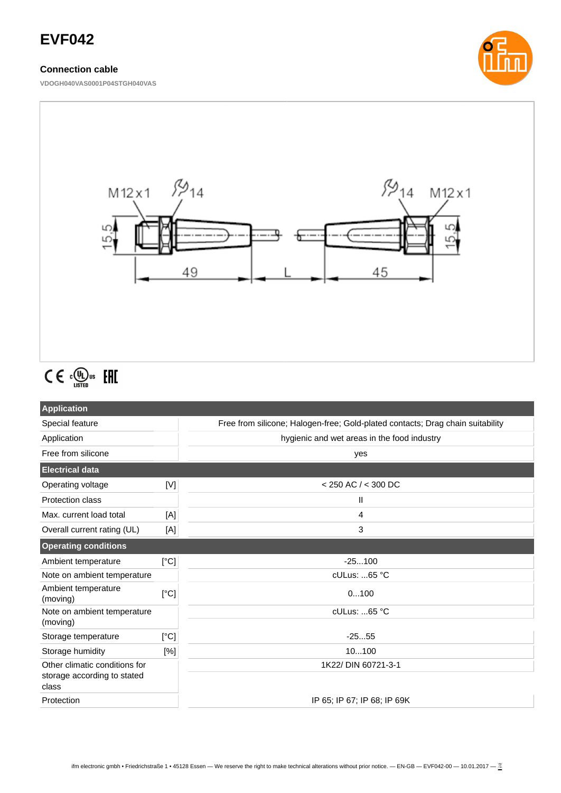# **EVF042**

## **Connection cable**

**VDOGH040VAS0001P04STGH040VAS**





# $C \in \mathbb{C}^{\text{op}}_{\text{LISTED}}$  EHI

| <b>Application</b>                                                    |      |                                                                                |  |
|-----------------------------------------------------------------------|------|--------------------------------------------------------------------------------|--|
| Special feature                                                       |      | Free from silicone; Halogen-free; Gold-plated contacts; Drag chain suitability |  |
| Application                                                           |      | hygienic and wet areas in the food industry                                    |  |
| Free from silicone                                                    |      | yes                                                                            |  |
| <b>Electrical data</b>                                                |      |                                                                                |  |
| Operating voltage                                                     | [V]  | $<$ 250 AC $/$ < 300 DC                                                        |  |
| <b>Protection class</b>                                               |      | Ш                                                                              |  |
| Max. current load total                                               | [A]  | 4                                                                              |  |
| Overall current rating (UL)                                           | [A]  | 3                                                                              |  |
| <b>Operating conditions</b>                                           |      |                                                                                |  |
| Ambient temperature                                                   | [°C] | $-25100$                                                                       |  |
| Note on ambient temperature                                           |      | cULus: 65 °C                                                                   |  |
| Ambient temperature<br>(moving)                                       | [°C] | 0100                                                                           |  |
| Note on ambient temperature<br>(moving)                               |      | cULus: 65 °C                                                                   |  |
| Storage temperature                                                   | [°C] | $-2555$                                                                        |  |
| Storage humidity                                                      | [%]  | 10100                                                                          |  |
| Other climatic conditions for<br>storage according to stated<br>class |      | 1K22/ DIN 60721-3-1                                                            |  |
|                                                                       |      |                                                                                |  |
| Protection                                                            |      | IP 65; IP 67; IP 68; IP 69K                                                    |  |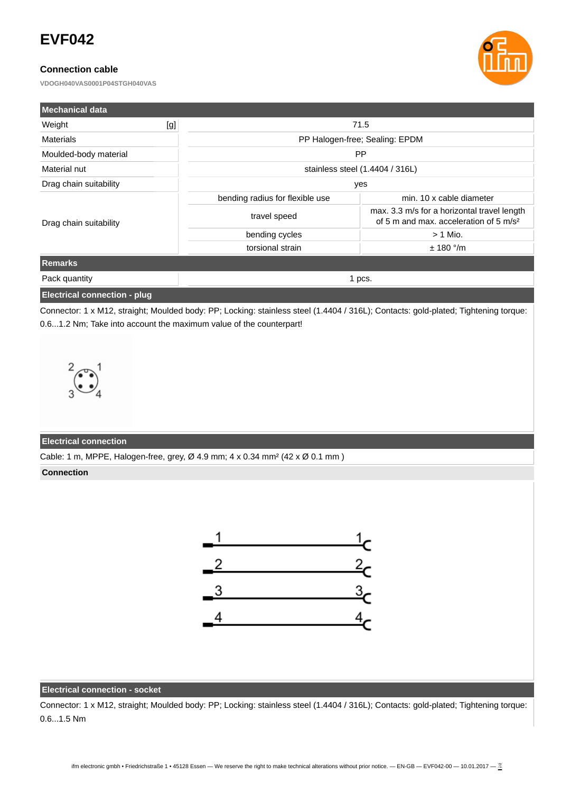# **EVF042**

## **Connection cable**

**VDOGH040VAS0001P04STGH040VAS**



| <b>Mechanical data</b> |     |                                 |                                                                                                   |  |
|------------------------|-----|---------------------------------|---------------------------------------------------------------------------------------------------|--|
| Weight                 | [g] | 71.5                            |                                                                                                   |  |
| <b>Materials</b>       |     | PP Halogen-free; Sealing: EPDM  |                                                                                                   |  |
| Moulded-body material  |     | <b>PP</b>                       |                                                                                                   |  |
| Material nut           |     | stainless steel (1.4404 / 316L) |                                                                                                   |  |
| Drag chain suitability |     | yes                             |                                                                                                   |  |
| Drag chain suitability |     | bending radius for flexible use | min. 10 x cable diameter                                                                          |  |
|                        |     | travel speed                    | max. 3.3 m/s for a horizontal travel length<br>of 5 m and max. acceleration of 5 m/s <sup>2</sup> |  |
|                        |     | bending cycles                  | $> 1$ Mio.                                                                                        |  |
|                        |     | torsional strain                | $± 180$ °/m                                                                                       |  |
| Remarks                |     |                                 |                                                                                                   |  |
| Pack quantity          |     | 1 pcs.                          |                                                                                                   |  |
|                        |     |                                 |                                                                                                   |  |

#### **Electrical connection - plug**

Connector: 1 x M12, straight; Moulded body: PP; Locking: stainless steel (1.4404 / 316L); Contacts: gold-plated; Tightening torque: 0.6...1.2 Nm; Take into account the maximum value of the counterpart!



#### **Electrical connection**

Cable: 1 m, MPPE, Halogen-free, grey, Ø 4.9 mm; 4 x 0.34 mm² (42 x Ø 0.1 mm )

#### **Connection**



## **Electrical connection - socket**

Connector: 1 x M12, straight; Moulded body: PP; Locking: stainless steel (1.4404 / 316L); Contacts: gold-plated; Tightening torque: 0.6...1.5 Nm